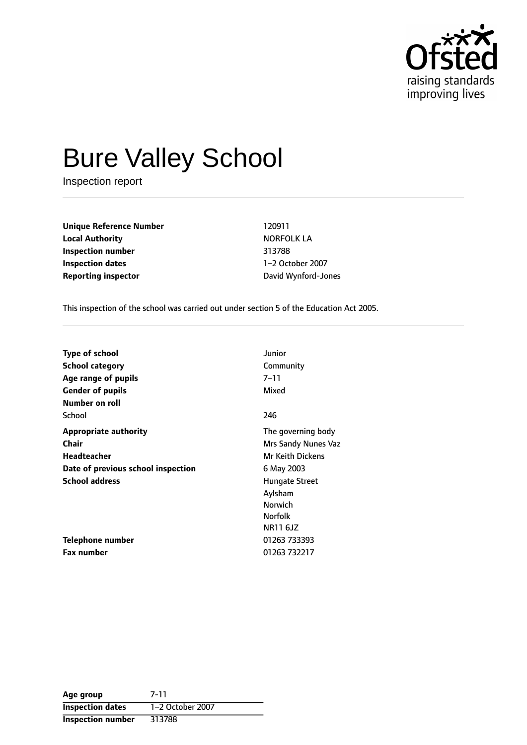

# Bure Valley School

Inspection report

**Unique Reference Number** 120911 **Local Authority NORFOLK LA Inspection number** 313788 **Inspection dates** 1-2 October 2007 **Reporting inspector and COV** David Wynford-Jones

This inspection of the school was carried out under section 5 of the Education Act 2005.

| <b>Type of school</b>              | Junior                  |
|------------------------------------|-------------------------|
| <b>School category</b>             | Community               |
| Age range of pupils                | 7–11                    |
| <b>Gender of pupils</b>            | Mixed                   |
| Number on roll                     |                         |
| School                             | 246                     |
| <b>Appropriate authority</b>       | The governing body      |
| Chair                              | Mrs Sandy Nunes Vaz     |
| <b>Headteacher</b>                 | <b>Mr Keith Dickens</b> |
| Date of previous school inspection | 6 May 2003              |
| <b>School address</b>              | <b>Hungate Street</b>   |
|                                    | Aylsham                 |
|                                    | <b>Norwich</b>          |
|                                    | <b>Norfolk</b>          |
|                                    | NR11 6JZ                |
| Telephone number                   | 01263 733393            |
| <b>Fax number</b>                  | 01263 732217            |

| Age group                | 7-11             |
|--------------------------|------------------|
| <b>Inspection dates</b>  | 1-2 October 2007 |
| <b>Inspection number</b> | 313788           |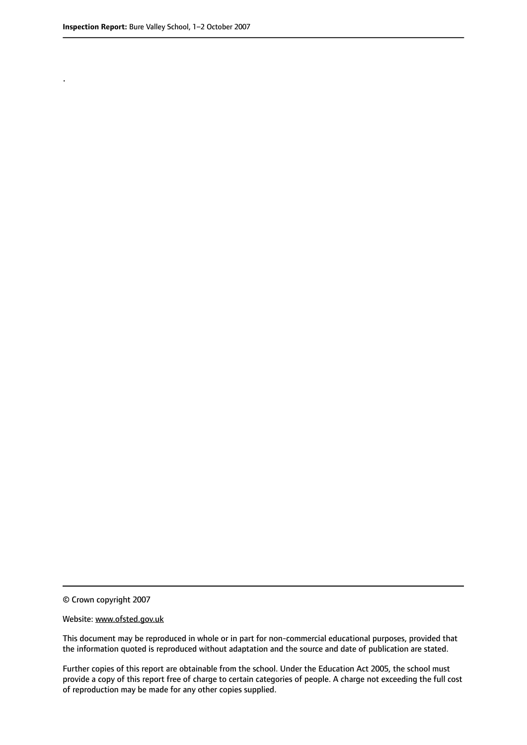.

© Crown copyright 2007

#### Website: www.ofsted.gov.uk

This document may be reproduced in whole or in part for non-commercial educational purposes, provided that the information quoted is reproduced without adaptation and the source and date of publication are stated.

Further copies of this report are obtainable from the school. Under the Education Act 2005, the school must provide a copy of this report free of charge to certain categories of people. A charge not exceeding the full cost of reproduction may be made for any other copies supplied.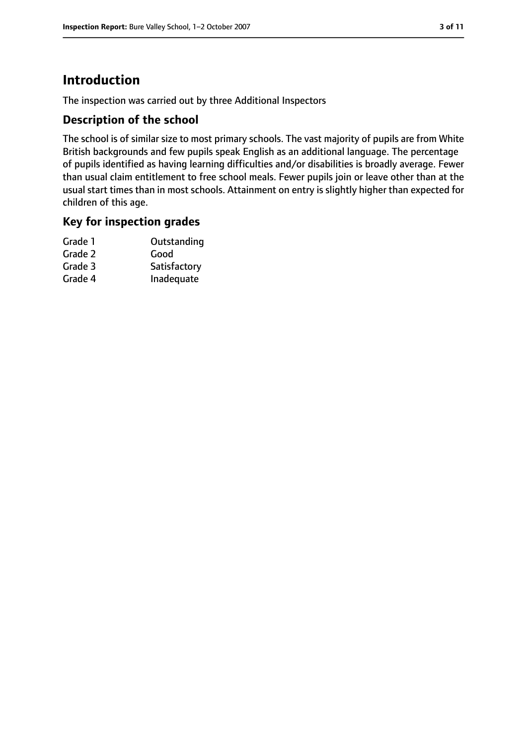# **Introduction**

The inspection was carried out by three Additional Inspectors

## **Description of the school**

The school is of similar size to most primary schools. The vast majority of pupils are from White British backgrounds and few pupils speak English as an additional language. The percentage of pupils identified as having learning difficulties and/or disabilities is broadly average. Fewer than usual claim entitlement to free school meals. Fewer pupils join or leave other than at the usual start times than in most schools. Attainment on entry is slightly higher than expected for children of this age.

## **Key for inspection grades**

| Grade 1 | Outstanding  |
|---------|--------------|
| Grade 2 | Good         |
| Grade 3 | Satisfactory |
| Grade 4 | Inadequate   |
|         |              |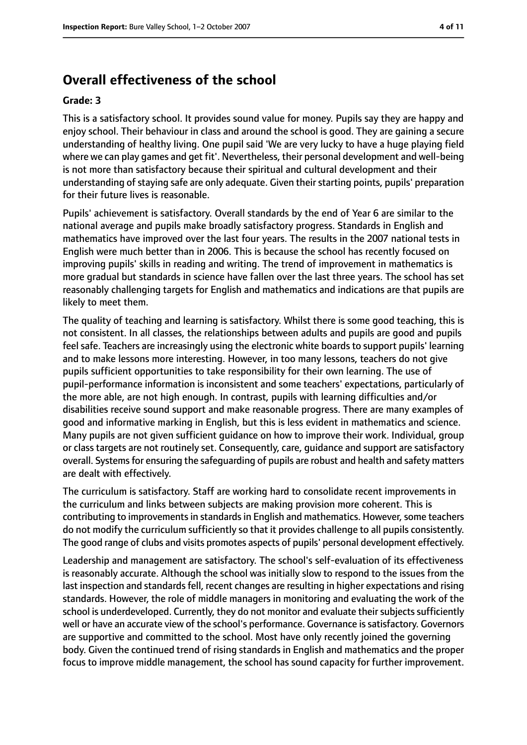# **Overall effectiveness of the school**

#### **Grade: 3**

This is a satisfactory school. It provides sound value for money. Pupils say they are happy and enjoy school. Their behaviour in class and around the school is good. They are gaining a secure understanding of healthy living. One pupil said 'We are very lucky to have a huge playing field where we can play games and get fit'. Nevertheless, their personal development and well-being is not more than satisfactory because their spiritual and cultural development and their understanding of staying safe are only adequate. Given their starting points, pupils' preparation for their future lives is reasonable.

Pupils' achievement is satisfactory. Overall standards by the end of Year 6 are similar to the national average and pupils make broadly satisfactory progress. Standards in English and mathematics have improved over the last four years. The results in the 2007 national tests in English were much better than in 2006. This is because the school has recently focused on improving pupils' skills in reading and writing. The trend of improvement in mathematics is more gradual but standards in science have fallen over the last three years. The school has set reasonably challenging targets for English and mathematics and indications are that pupils are likely to meet them.

The quality of teaching and learning is satisfactory. Whilst there is some good teaching, this is not consistent. In all classes, the relationships between adults and pupils are good and pupils feel safe. Teachers are increasingly using the electronic white boards to support pupils' learning and to make lessons more interesting. However, in too many lessons, teachers do not give pupils sufficient opportunities to take responsibility for their own learning. The use of pupil-performance information is inconsistent and some teachers' expectations, particularly of the more able, are not high enough. In contrast, pupils with learning difficulties and/or disabilities receive sound support and make reasonable progress. There are many examples of good and informative marking in English, but this is less evident in mathematics and science. Many pupils are not given sufficient guidance on how to improve their work. Individual, group or class targets are not routinely set. Consequently, care, guidance and support are satisfactory overall. Systems for ensuring the safeguarding of pupils are robust and health and safety matters are dealt with effectively.

The curriculum is satisfactory. Staff are working hard to consolidate recent improvements in the curriculum and links between subjects are making provision more coherent. This is contributing to improvements in standards in English and mathematics. However, some teachers do not modify the curriculum sufficiently so that it provides challenge to all pupils consistently. The good range of clubs and visits promotes aspects of pupils' personal development effectively.

Leadership and management are satisfactory. The school's self-evaluation of its effectiveness is reasonably accurate. Although the school was initially slow to respond to the issues from the last inspection and standards fell, recent changes are resulting in higher expectations and rising standards. However, the role of middle managers in monitoring and evaluating the work of the school is underdeveloped. Currently, they do not monitor and evaluate their subjects sufficiently well or have an accurate view of the school's performance. Governance is satisfactory. Governors are supportive and committed to the school. Most have only recently joined the governing body. Given the continued trend of rising standards in English and mathematics and the proper focus to improve middle management, the school has sound capacity for further improvement.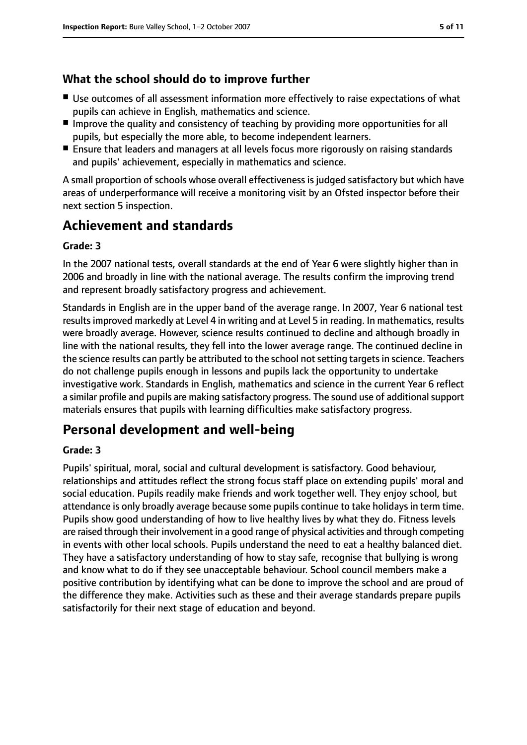## **What the school should do to improve further**

- Use outcomes of all assessment information more effectively to raise expectations of what pupils can achieve in English, mathematics and science.
- Improve the quality and consistency of teaching by providing more opportunities for all pupils, but especially the more able, to become independent learners.
- Ensure that leaders and managers at all levels focus more rigorously on raising standards and pupils' achievement, especially in mathematics and science.

A small proportion of schools whose overall effectiveness is judged satisfactory but which have areas of underperformance will receive a monitoring visit by an Ofsted inspector before their next section 5 inspection.

# **Achievement and standards**

## **Grade: 3**

In the 2007 national tests, overall standards at the end of Year 6 were slightly higher than in 2006 and broadly in line with the national average. The results confirm the improving trend and represent broadly satisfactory progress and achievement.

Standards in English are in the upper band of the average range. In 2007, Year 6 national test results improved markedly at Level 4 in writing and at Level 5 in reading. In mathematics, results were broadly average. However, science results continued to decline and although broadly in line with the national results, they fell into the lower average range. The continued decline in the science results can partly be attributed to the school not setting targets in science. Teachers do not challenge pupils enough in lessons and pupils lack the opportunity to undertake investigative work. Standards in English, mathematics and science in the current Year 6 reflect a similar profile and pupils are making satisfactory progress. The sound use of additional support materials ensures that pupils with learning difficulties make satisfactory progress.

# **Personal development and well-being**

#### **Grade: 3**

Pupils' spiritual, moral, social and cultural development is satisfactory. Good behaviour, relationships and attitudes reflect the strong focus staff place on extending pupils' moral and social education. Pupils readily make friends and work together well. They enjoy school, but attendance is only broadly average because some pupils continue to take holidays in term time. Pupils show good understanding of how to live healthy lives by what they do. Fitness levels are raised through their involvement in a good range of physical activities and through competing in events with other local schools. Pupils understand the need to eat a healthy balanced diet. They have a satisfactory understanding of how to stay safe, recognise that bullying is wrong and know what to do if they see unacceptable behaviour. School council members make a positive contribution by identifying what can be done to improve the school and are proud of the difference they make. Activities such as these and their average standards prepare pupils satisfactorily for their next stage of education and beyond.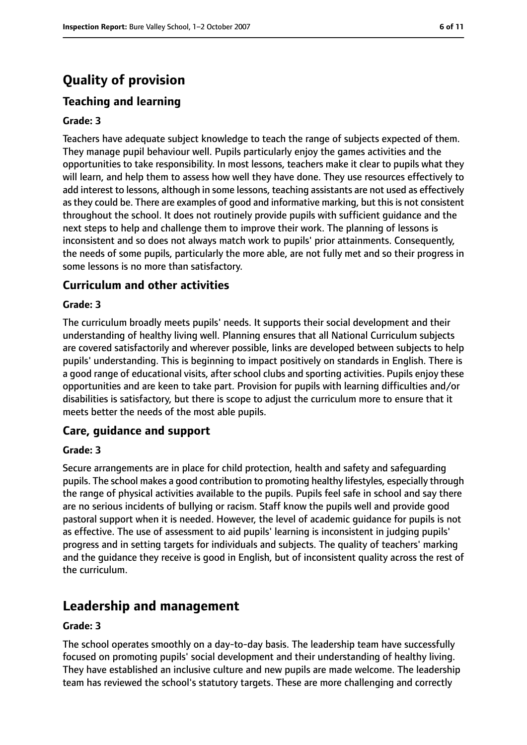# **Quality of provision**

## **Teaching and learning**

#### **Grade: 3**

Teachers have adequate subject knowledge to teach the range of subjects expected of them. They manage pupil behaviour well. Pupils particularly enjoy the games activities and the opportunities to take responsibility. In most lessons, teachers make it clear to pupils what they will learn, and help them to assess how well they have done. They use resources effectively to add interest to lessons, although in some lessons, teaching assistants are not used as effectively as they could be. There are examples of good and informative marking, but this is not consistent throughout the school. It does not routinely provide pupils with sufficient guidance and the next steps to help and challenge them to improve their work. The planning of lessons is inconsistent and so does not always match work to pupils' prior attainments. Consequently, the needs of some pupils, particularly the more able, are not fully met and so their progress in some lessons is no more than satisfactory.

#### **Curriculum and other activities**

#### **Grade: 3**

The curriculum broadly meets pupils' needs. It supports their social development and their understanding of healthy living well. Planning ensures that all National Curriculum subjects are covered satisfactorily and wherever possible, links are developed between subjects to help pupils' understanding. This is beginning to impact positively on standards in English. There is a good range of educational visits, after school clubs and sporting activities. Pupils enjoy these opportunities and are keen to take part. Provision for pupils with learning difficulties and/or disabilities is satisfactory, but there is scope to adjust the curriculum more to ensure that it meets better the needs of the most able pupils.

#### **Care, guidance and support**

#### **Grade: 3**

Secure arrangements are in place for child protection, health and safety and safeguarding pupils. The school makes a good contribution to promoting healthy lifestyles, especially through the range of physical activities available to the pupils. Pupils feel safe in school and say there are no serious incidents of bullying or racism. Staff know the pupils well and provide good pastoral support when it is needed. However, the level of academic guidance for pupils is not as effective. The use of assessment to aid pupils' learning is inconsistent in judging pupils' progress and in setting targets for individuals and subjects. The quality of teachers' marking and the guidance they receive is good in English, but of inconsistent quality across the rest of the curriculum.

# **Leadership and management**

#### **Grade: 3**

The school operates smoothly on a day-to-day basis. The leadership team have successfully focused on promoting pupils' social development and their understanding of healthy living. They have established an inclusive culture and new pupils are made welcome. The leadership team has reviewed the school's statutory targets. These are more challenging and correctly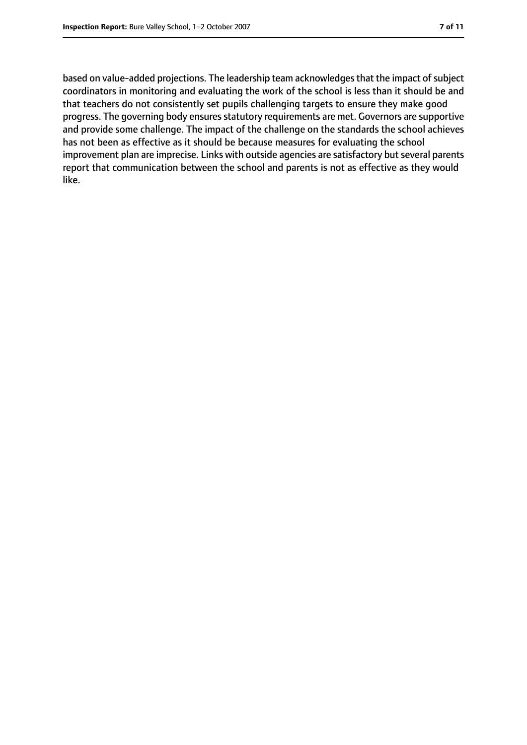based on value-added projections. The leadership team acknowledges that the impact of subject coordinators in monitoring and evaluating the work of the school is less than it should be and that teachers do not consistently set pupils challenging targets to ensure they make good progress. The governing body ensures statutory requirements are met. Governors are supportive and provide some challenge. The impact of the challenge on the standards the school achieves has not been as effective as it should be because measures for evaluating the school improvement plan are imprecise. Links with outside agencies are satisfactory but several parents report that communication between the school and parents is not as effective as they would like.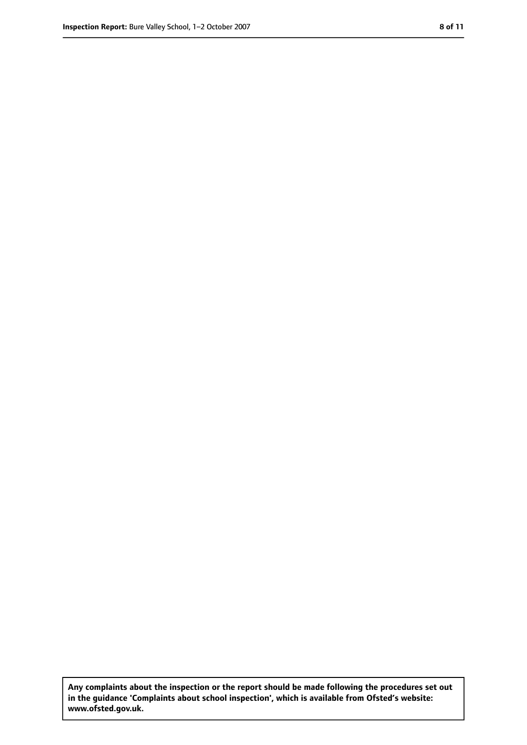**Any complaints about the inspection or the report should be made following the procedures set out in the guidance 'Complaints about school inspection', which is available from Ofsted's website: www.ofsted.gov.uk.**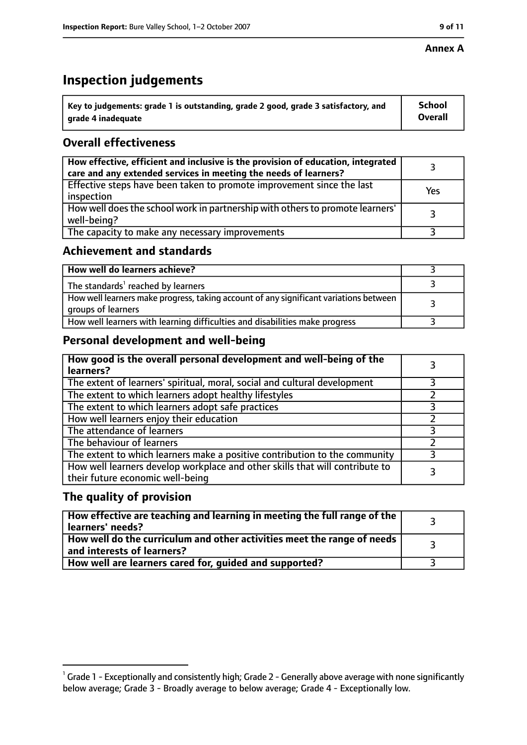#### **Annex A**

# **Inspection judgements**

| $^{\circ}$ Key to judgements: grade 1 is outstanding, grade 2 good, grade 3 satisfactory, and | <b>School</b>  |
|-----------------------------------------------------------------------------------------------|----------------|
| arade 4 inadequate                                                                            | <b>Overall</b> |

## **Overall effectiveness**

| How effective, efficient and inclusive is the provision of education, integrated<br>care and any extended services in meeting the needs of learners? |     |
|------------------------------------------------------------------------------------------------------------------------------------------------------|-----|
| Effective steps have been taken to promote improvement since the last<br>inspection                                                                  | Yes |
| How well does the school work in partnership with others to promote learners'<br>well-being?                                                         |     |
| The capacity to make any necessary improvements                                                                                                      |     |

## **Achievement and standards**

| How well do learners achieve?                                                                               |  |
|-------------------------------------------------------------------------------------------------------------|--|
| The standards <sup>1</sup> reached by learners                                                              |  |
| How well learners make progress, taking account of any significant variations between<br>groups of learners |  |
| How well learners with learning difficulties and disabilities make progress                                 |  |

# **Personal development and well-being**

| How good is the overall personal development and well-being of the<br>learners?                                  |   |
|------------------------------------------------------------------------------------------------------------------|---|
| The extent of learners' spiritual, moral, social and cultural development                                        |   |
| The extent to which learners adopt healthy lifestyles                                                            |   |
| The extent to which learners adopt safe practices                                                                |   |
| How well learners enjoy their education                                                                          |   |
| The attendance of learners                                                                                       |   |
| The behaviour of learners                                                                                        |   |
| The extent to which learners make a positive contribution to the community                                       | 3 |
| How well learners develop workplace and other skills that will contribute to<br>their future economic well-being |   |

## **The quality of provision**

| $\mid$ How effective are teaching and learning in meeting the full range of the $\mid$<br>learners' needs? |  |
|------------------------------------------------------------------------------------------------------------|--|
| How well do the curriculum and other activities meet the range of needs  <br>and interests of learners?    |  |
| How well are learners cared for, guided and supported?                                                     |  |

 $^1$  Grade 1 - Exceptionally and consistently high; Grade 2 - Generally above average with none significantly below average; Grade 3 - Broadly average to below average; Grade 4 - Exceptionally low.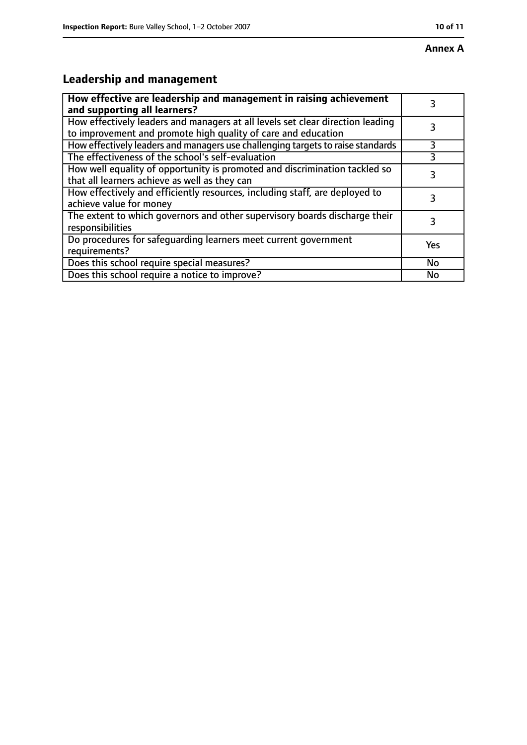# **Annex A**

# **Leadership and management**

| How effective are leadership and management in raising achievement<br>and supporting all learners?                                              | 3         |
|-------------------------------------------------------------------------------------------------------------------------------------------------|-----------|
| How effectively leaders and managers at all levels set clear direction leading<br>to improvement and promote high quality of care and education |           |
| How effectively leaders and managers use challenging targets to raise standards                                                                 | 3         |
| The effectiveness of the school's self-evaluation                                                                                               |           |
| How well equality of opportunity is promoted and discrimination tackled so<br>that all learners achieve as well as they can                     | 3         |
| How effectively and efficiently resources, including staff, are deployed to<br>achieve value for money                                          | 3         |
| The extent to which governors and other supervisory boards discharge their<br>responsibilities                                                  | 3         |
| Do procedures for safequarding learners meet current government<br>requirements?                                                                | Yes       |
| Does this school require special measures?                                                                                                      | <b>No</b> |
| Does this school require a notice to improve?                                                                                                   | No        |